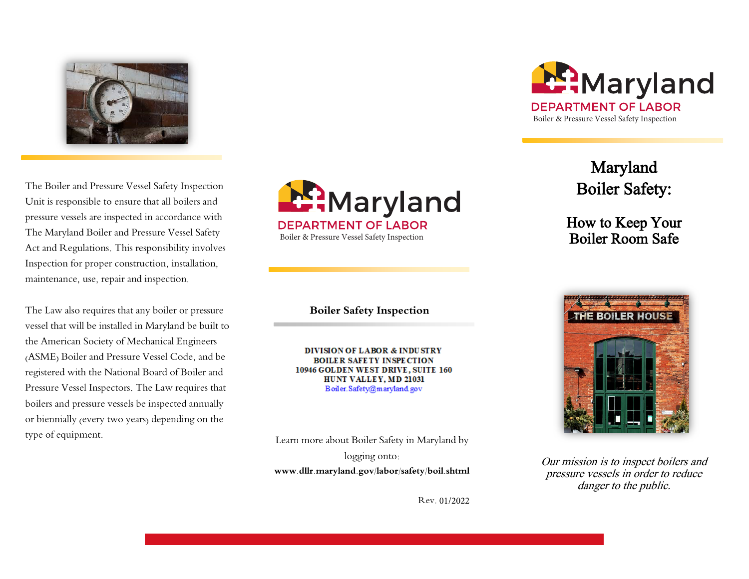

The Boiler and Pressure Vessel Safety Inspection Unit is responsible to ensure that all boilers and pressure vessels are inspected in accordance with The Maryland Boiler and Pressure Vessel Safety Act and Regulations. This responsibility involves Inspection for proper construction, installation, maintenance, use, repair and inspection.

The Law also requires that any boiler or pressure vessel that will be installed in Maryland be built to the American Society of Mechanical Engineers (ASME) Boiler and Pressure Vessel Code, and be registered with the National Board of Boiler and Pressure Vessel Inspectors. The Law requires that boilers and pressure vessels be inspected annually or biennially (every two years) depending on the type of equipment.



**Boiler Safety Inspection** 

DIVISION OF LABOR & INDUSTRY **BOILER SAFETY INSPECTION** 10946 GOLDEN WEST DRIVE, SUITE 160 HUNT VALLEY, MD 21031 Boiler.Safety@maryland.gov

Learn more about Boiler Safety in Maryland by logging onto: **www.dllr.maryland.gov/labor/safety/boil.shtml** 

Rev. 01/2022



Maryland Boiler Safety:

How to Keep Your Boiler Room Safe



Our mission is to inspect boilers and pressure vessels in order to reduce danger to the public.